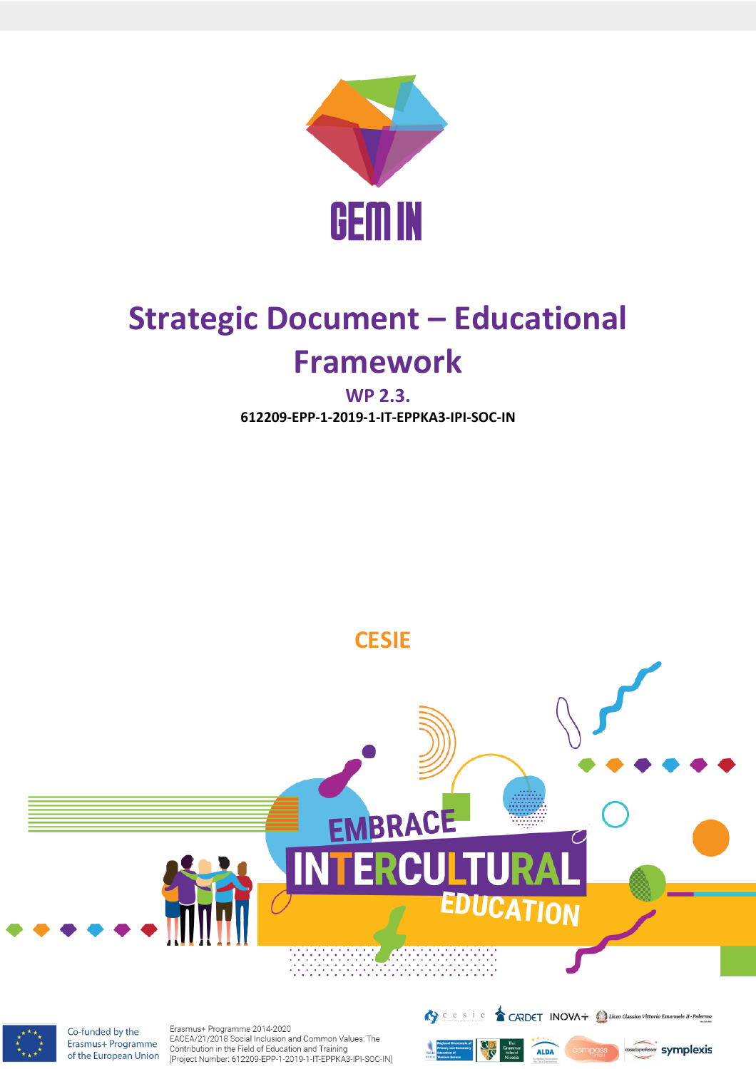

# **Strategic Document – Educational Framework**

**WP 2.3. 612209-EPP-1-2019-1-IT-EPPKA3-IPI-SOC-IN**







Co-funded by the Erasmus+ Programme of the European Union

Erasmus+ Programme 2014-2020<br>EACEA/21/2018 Social Inclusion and Common Values: The Contribution in the Field of Education and Training [Project Number: 612209-EPP-1-2019-1-IT-EPPKA3-IPI-SOC-IN]  $Q$  c e s i e CARDET INOVA + Liceo Classico Vittorio Emanuele II-Palermo

ALDA

symplexis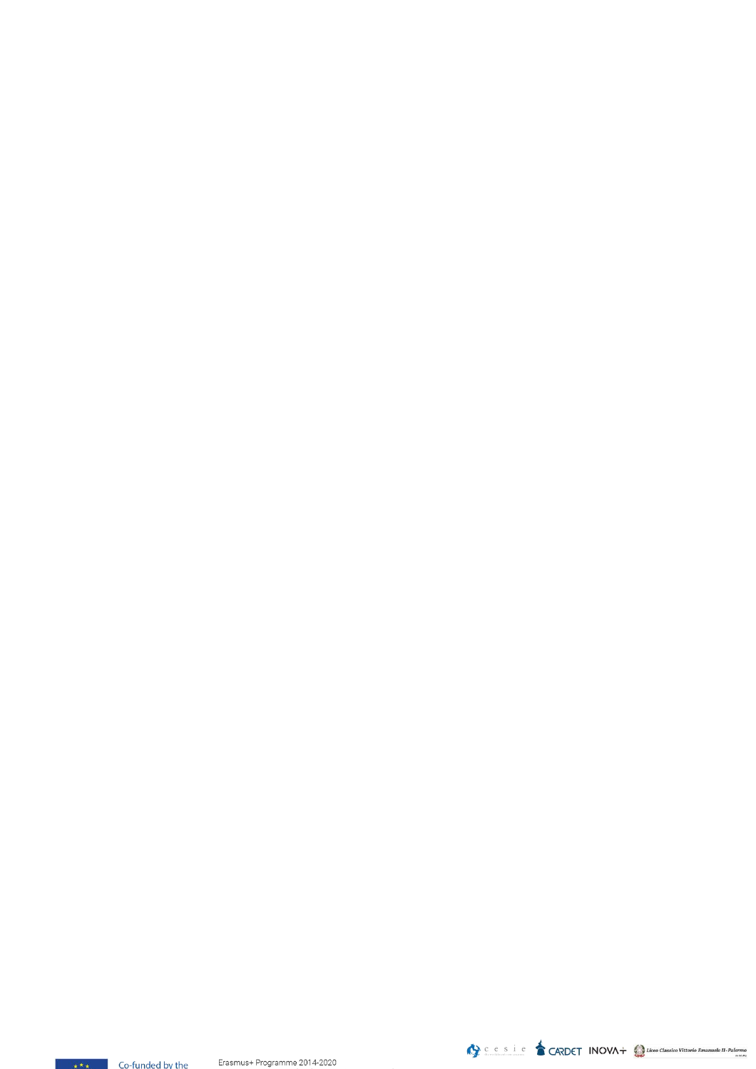C c c s i c CANDET INOVA + Q Liceo Classico Vittorio Emanuele II Palermo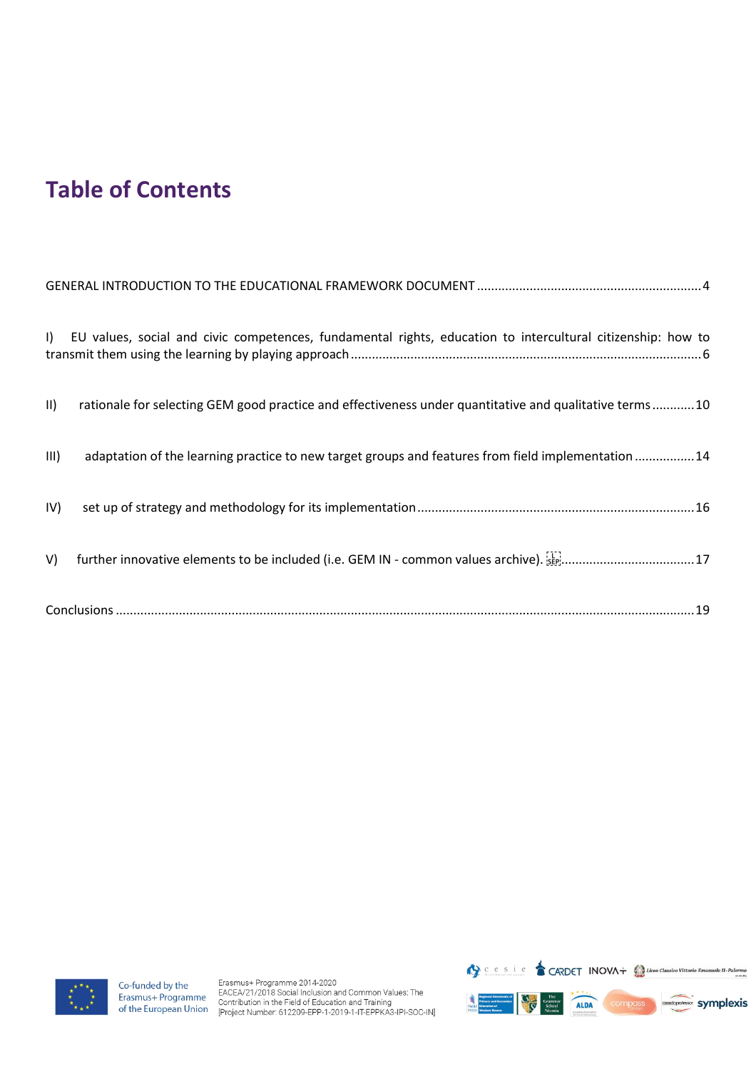## **Table of Contents**

| I) EU values, social and civic competences, fundamental rights, education to intercultural citizenship: how to        |
|-----------------------------------------------------------------------------------------------------------------------|
| rationale for selecting GEM good practice and effectiveness under quantitative and qualitative terms10<br>$\parallel$ |
| adaptation of the learning practice to new target groups and features from field implementation 14<br>III)            |
| IV)                                                                                                                   |
| V)                                                                                                                    |
|                                                                                                                       |



Co-funded by the Erasmus+ Programme 2014-2020<br>Exasmus+ Programme EACEA/21/2018 Social Inclusion and Common Values: The<br>of the European Union [Project Number: 612209-EPP-1-2019-1-IT-EPPKA3-IPI-SOC-IN]

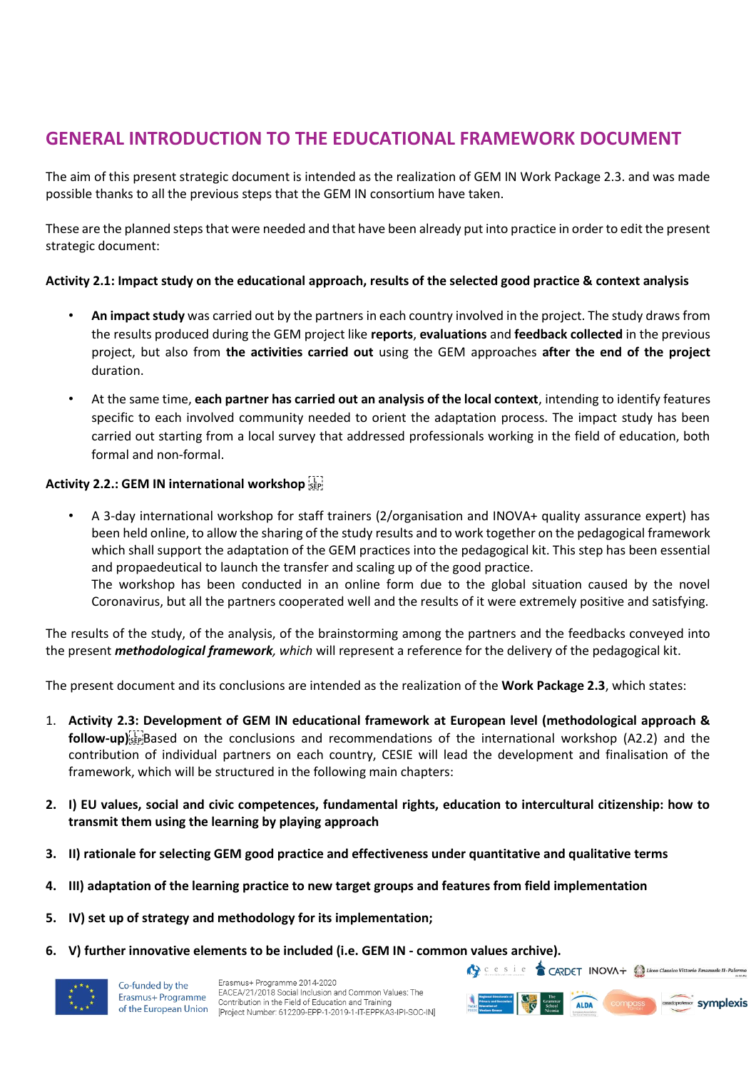## **GENERAL INTRODUCTION TO THE EDUCATIONAL FRAMEWORK DOCUMENT**

The aim of this present strategic document is intended as the realization of GEM IN Work Package 2.3. and was made possible thanks to all the previous steps that the GEM IN consortium have taken.

These are the planned steps that were needed and that have been already put into practice in order to edit the present strategic document:

#### **Activity 2.1: Impact study on the educational approach, results of the selected good practice & context analysis**

- **An impact study** was carried out by the partners in each country involved in the project. The study draws from the results produced during the GEM project like **reports**, **evaluations** and **feedback collected** in the previous project, but also from **the activities carried out** using the GEM approaches **after the end of the project**  duration.
- At the same time, **each partner has carried out an analysis of the local context**, intending to identify features specific to each involved community needed to orient the adaptation process. The impact study has been carried out starting from a local survey that addressed professionals working in the field of education, both formal and non-formal.

#### **Activity 2.2.: GEM IN international workshop**

• A 3-day international workshop for staff trainers (2/organisation and INOVA+ quality assurance expert) has been held online, to allow the sharing of the study results and to work together on the pedagogical framework which shall support the adaptation of the GEM practices into the pedagogical kit. This step has been essential and propaedeutical to launch the transfer and scaling up of the good practice. The workshop has been conducted in an online form due to the global situation caused by the novel Coronavirus, but all the partners cooperated well and the results of it were extremely positive and satisfying.

The results of the study, of the analysis, of the brainstorming among the partners and the feedbacks conveyed into the present *methodological framework, which* will represent a reference for the delivery of the pedagogical kit.

The present document and its conclusions are intended as the realization of the **Work Package 2.3**, which states:

- 1. **Activity 2.3: Development of GEM IN educational framework at European level (methodological approach & follow-up)**  $\frac{1}{2}$  Based on the conclusions and recommendations of the international workshop (A2.2) and the contribution of individual partners on each country, CESIE will lead the development and finalisation of the framework, which will be structured in the following main chapters:
- **2. I) EU values, social and civic competences, fundamental rights, education to intercultural citizenship: how to transmit them using the learning by playing approach**
- **3. II) rationale for selecting GEM good practice and effectiveness under quantitative and qualitative terms**
- **4. III) adaptation of the learning practice to new target groups and features from field implementation**
- **5. IV) set up of strategy and methodology for its implementation;**
- **6. V) further innovative elements to be included (i.e. GEM IN - common values archive).**



Erasmus+ Programme 2014-2020 EACEA/21/2018 Social Inclusion and Common Values: The Contribution in the Field of Education and Training [Project Number: 612209-EPP-1-2019-1-IT-EPPKA3-IPI-SOC-IN]



C c c s i c CANDET INOVA + Diceo Classico Vittorio Emanuele II-Palerm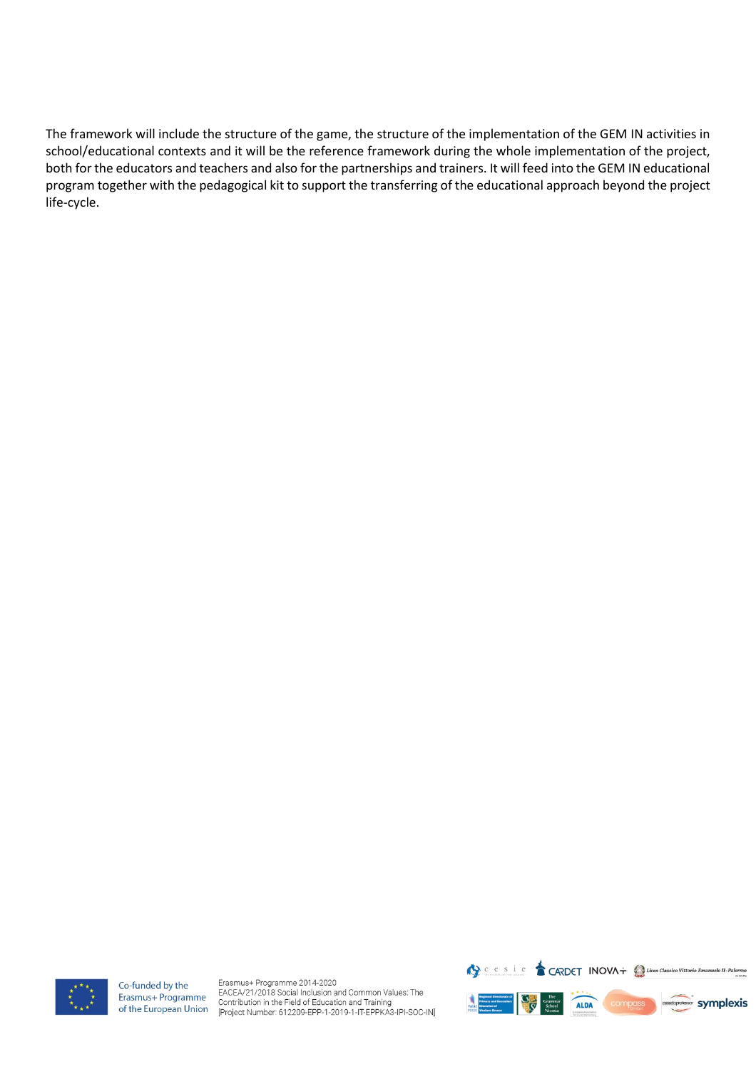The framework will include the structure of the game, the structure of the implementation of the GEM IN activities in school/educational contexts and it will be the reference framework during the whole implementation of the project, both for the educators and teachers and also for the partnerships and trainers. It will feed into the GEM IN educational program together with the pedagogical kit to support the transferring of the educational approach beyond the project life-cycle.



Co-funded by the Erasmus+ Programme of the European Union

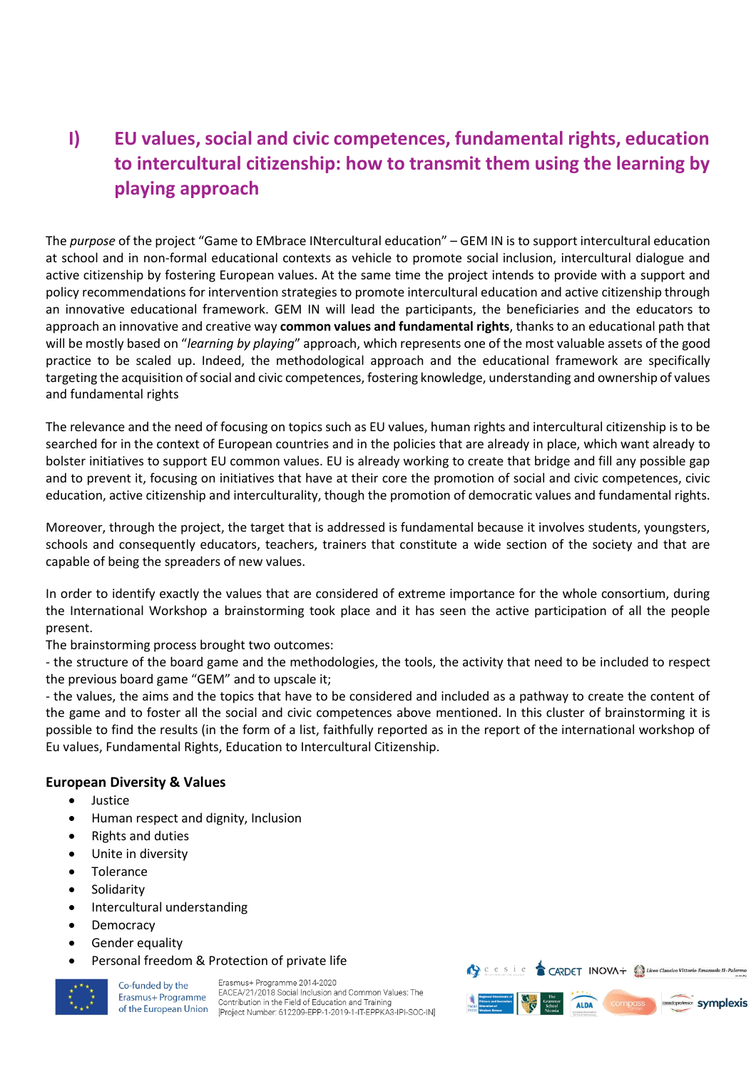## **I) EU values, social and civic competences, fundamental rights, education to intercultural citizenship: how to transmit them using the learning by playing approach**

The *purpose* of the project "Game to EMbrace INtercultural education" – GEM IN is to support intercultural education at school and in non-formal educational contexts as vehicle to promote social inclusion, intercultural dialogue and active citizenship by fostering European values. At the same time the project intends to provide with a support and policy recommendations for intervention strategies to promote intercultural education and active citizenship through an innovative educational framework. GEM IN will lead the participants, the beneficiaries and the educators to approach an innovative and creative way **common values and fundamental rights**, thanks to an educational path that will be mostly based on "*learning by playing*" approach, which represents one of the most valuable assets of the good practice to be scaled up. Indeed, the methodological approach and the educational framework are specifically targeting the acquisition of social and civic competences, fostering knowledge, understanding and ownership of values and fundamental rights

The relevance and the need of focusing on topics such as EU values, human rights and intercultural citizenship is to be searched for in the context of European countries and in the policies that are already in place, which want already to bolster initiatives to support EU common values. EU is already working to create that bridge and fill any possible gap and to prevent it, focusing on initiatives that have at their core the promotion of social and civic competences, civic education, active citizenship and interculturality, though the promotion of democratic values and fundamental rights.

Moreover, through the project, the target that is addressed is fundamental because it involves students, youngsters, schools and consequently educators, teachers, trainers that constitute a wide section of the society and that are capable of being the spreaders of new values.

In order to identify exactly the values that are considered of extreme importance for the whole consortium, during the International Workshop a brainstorming took place and it has seen the active participation of all the people present.

The brainstorming process brought two outcomes:

- the structure of the board game and the methodologies, the tools, the activity that need to be included to respect the previous board game "GEM" and to upscale it;

- the values, the aims and the topics that have to be considered and included as a pathway to create the content of the game and to foster all the social and civic competences above mentioned. In this cluster of brainstorming it is possible to find the results (in the form of a list, faithfully reported as in the report of the international workshop of Eu values, Fundamental Rights, Education to Intercultural Citizenship.

#### **European Diversity & Values**

- Justice
- Human respect and dignity, Inclusion
- Rights and duties
- Unite in diversity
- Tolerance
- Solidarity
- Intercultural understanding
- Democracy
- Gender equality
- Personal freedom & Protection of private life



Co-funded by the Erasmus+ Programme of the European Union

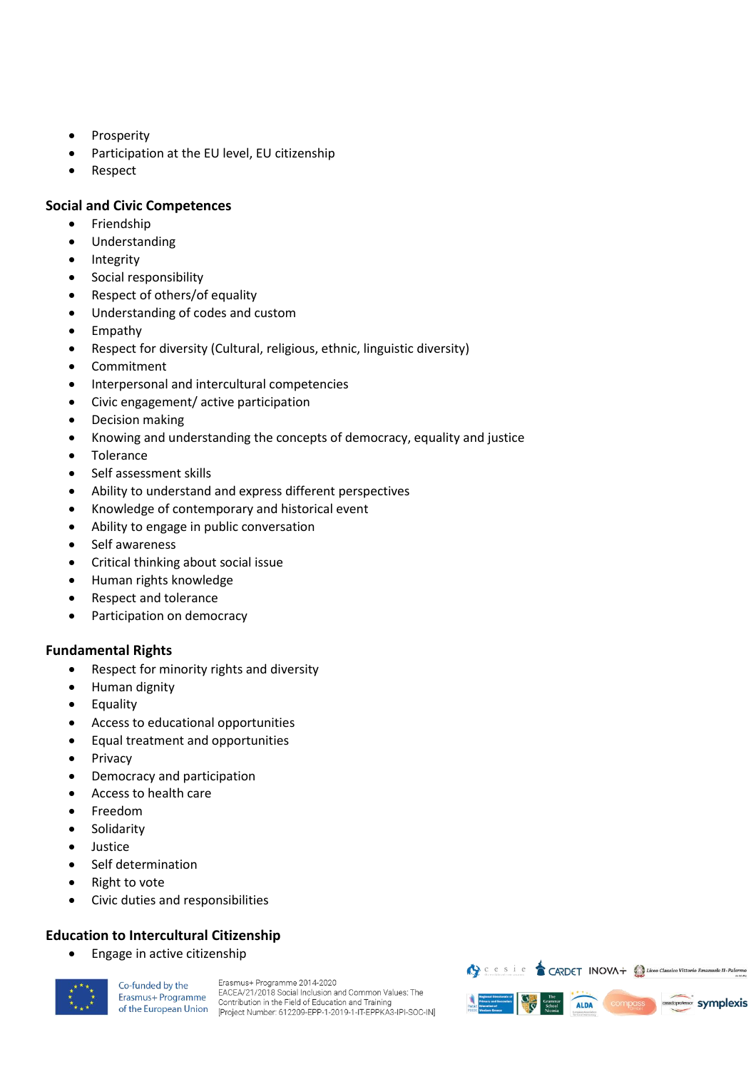- Prosperity
- Participation at the EU level, EU citizenship
- Respect

#### **Social and Civic Competences**

- Friendship
- Understanding
- **Integrity**
- Social responsibility
- Respect of others/of equality
- Understanding of codes and custom
- Empathy
- Respect for diversity (Cultural, religious, ethnic, linguistic diversity)
- Commitment
- Interpersonal and intercultural competencies
- Civic engagement/ active participation
- Decision making
- Knowing and understanding the concepts of democracy, equality and justice
- **Tolerance**
- Self assessment skills
- Ability to understand and express different perspectives
- Knowledge of contemporary and historical event
- Ability to engage in public conversation
- Self awareness
- Critical thinking about social issue
- Human rights knowledge
- Respect and tolerance
- Participation on democracy

#### **Fundamental Rights**

- Respect for minority rights and diversity
- Human dignity
- Equality
- Access to educational opportunities
- Equal treatment and opportunities
- Privacy
- Democracy and participation
- Access to health care
- Freedom
- Solidarity
- Justice
- Self determination
- Right to vote
- Civic duties and responsibilities

#### **Education to Intercultural Citizenship**

• Engage in active citizenship



Co-funded by the Erasmus+ Programme

Erasmus+ Programme 2014-2020 EACEA/21/2018 Social Inclusion and Common Values: The Contribution in the Field of Education and Training Liasmus+1 rogramme Contribution in the Field of Education and Training<br>of the European Union [Project Number: 612209-EPP-1-2019-1-IT-EPPKA3-IPI-SOC-IN]

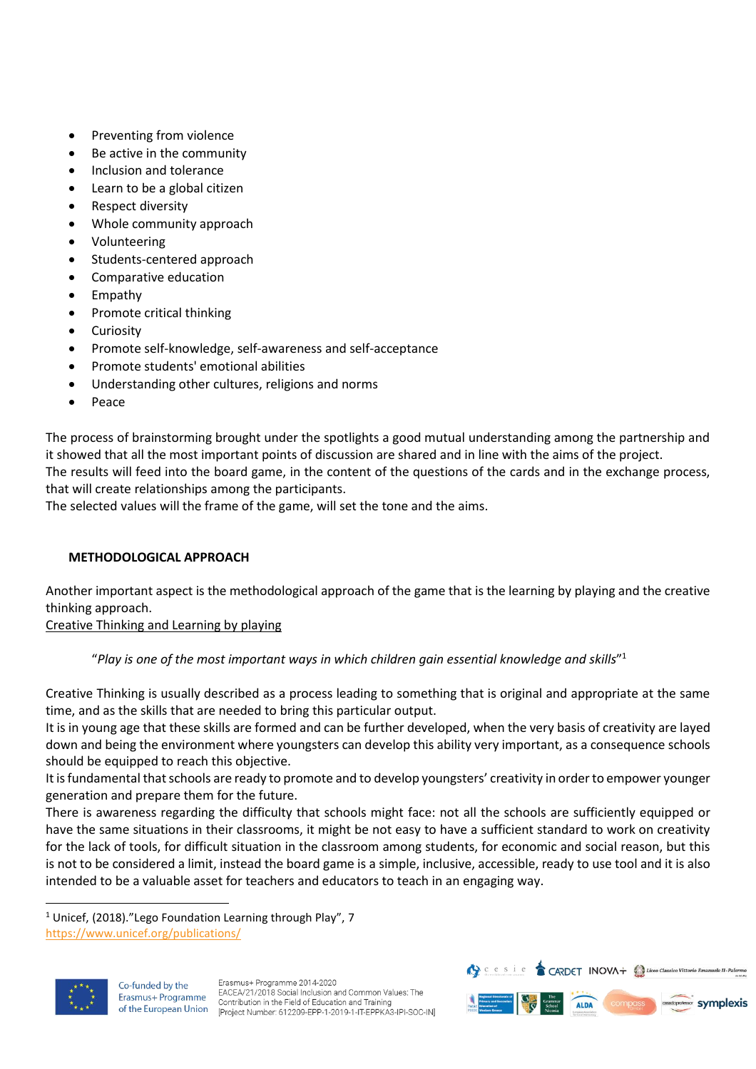- Preventing from violence
- Be active in the community
- Inclusion and tolerance
- Learn to be a global citizen
- Respect diversity
- Whole community approach
- Volunteering
- Students-centered approach
- Comparative education
- Empathy
- Promote critical thinking
- **Curiosity**
- Promote self-knowledge, self-awareness and self-acceptance
- Promote students' emotional abilities
- Understanding other cultures, religions and norms
- Peace

The process of brainstorming brought under the spotlights a good mutual understanding among the partnership and it showed that all the most important points of discussion are shared and in line with the aims of the project. The results will feed into the board game, in the content of the questions of the cards and in the exchange process, that will create relationships among the participants.

The selected values will the frame of the game, will set the tone and the aims.

#### **METHODOLOGICAL APPROACH**

Another important aspect is the methodological approach of the game that is the learning by playing and the creative thinking approach.

#### Creative Thinking and Learning by playing

 $\emph{``Play}$  is one of the most important ways in which children gain essential knowledge and skills $\emph{''}^1$ 

Creative Thinking is usually described as a process leading to something that is original and appropriate at the same time, and as the skills that are needed to bring this particular output.

It is in young age that these skills are formed and can be further developed, when the very basis of creativity are layed down and being the environment where youngsters can develop this ability very important, as a consequence schools should be equipped to reach this objective.

It is fundamental that schools are ready to promote and to develop youngsters' creativity in order to empower younger generation and prepare them for the future.

There is awareness regarding the difficulty that schools might face: not all the schools are sufficiently equipped or have the same situations in their classrooms, it might be not easy to have a sufficient standard to work on creativity for the lack of tools, for difficult situation in the classroom among students, for economic and social reason, but this is not to be considered a limit, instead the board game is a simple, inclusive, accessible, ready to use tool and it is also intended to be a valuable asset for teachers and educators to teach in an engaging way.

<sup>&</sup>lt;sup>1</sup> Unicef, (2018)."Lego Foundation Learning through Play", 7 <https://www.unicef.org/publications/>



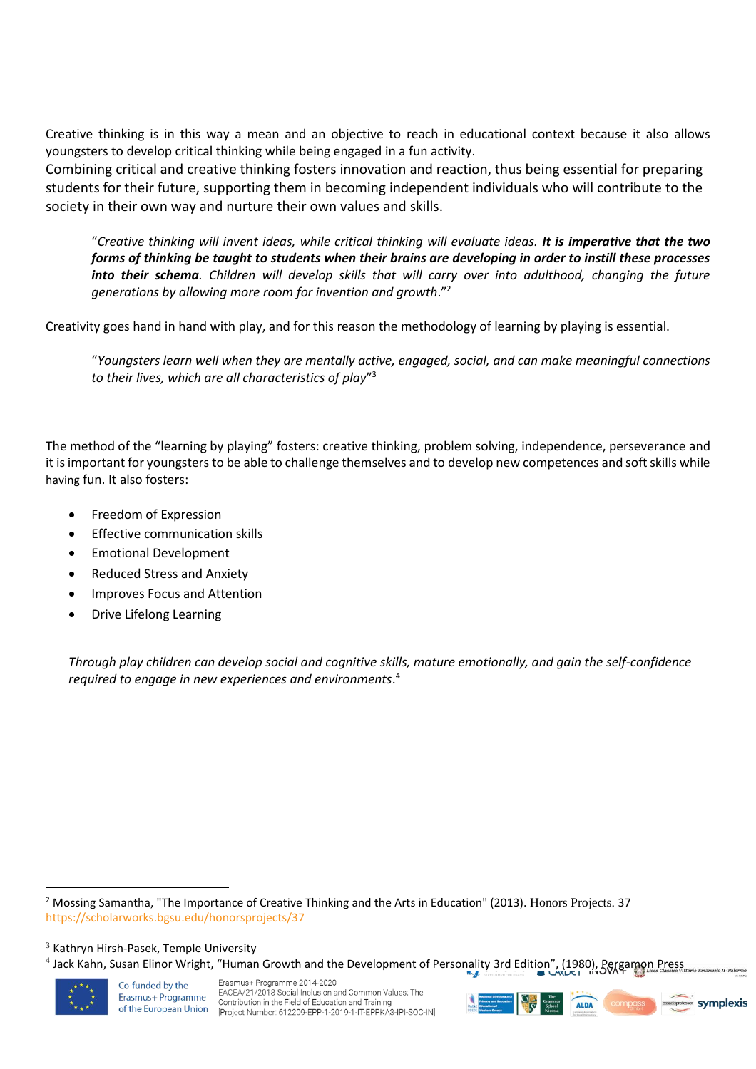Creative thinking is in this way a mean and an objective to reach in educational context because it also allows youngsters to develop critical thinking while being engaged in a fun activity.

Combining critical and creative thinking fosters innovation and reaction, thus being essential for preparing students for their future, supporting them in becoming independent individuals who will contribute to the society in their own way and nurture their own values and skills.

"*Creative thinking will invent ideas, while critical thinking will evaluate ideas. It is imperative that the two forms of thinking be taught to students when their brains are developing in order to instill these processes into their schema. Children will develop skills that will carry over into adulthood, changing the future generations by allowing more room for invention and growth*."<sup>2</sup>

Creativity goes hand in hand with play, and for this reason the methodology of learning by playing is essential.

"*Youngsters learn well when they are mentally active, engaged, social, and can make meaningful connections to their lives, which are all characteristics of play*" 3

The method of the "learning by playing" fosters: creative thinking, problem solving, independence, perseverance and it is important for youngsters to be able to challenge themselves and to develop new competences and soft skills while having fun. It also fosters:

- Freedom of Expression
- **Effective communication skills**
- Emotional Development
- Reduced Stress and Anxiety
- Improves Focus and Attention
- Drive Lifelong Learning

*Through play children can develop social and cognitive skills, mature emotionally, and gain the self-confidence required to engage in new experiences and environments*. 4

symplexis



<sup>2</sup> Mossing Samantha, "The Importance of Creative Thinking and the Arts in Education" (2013). Honors Projects. 37 <https://scholarworks.bgsu.edu/honorsprojects/37>

 $3$  Kathryn Hirsh-Pasek, Temple University

<sup>&</sup>lt;sup>4</sup> Jack Kahn, Susan Elinor Wright, "Human Growth and the Development of Personality 3rd Edition", (1980), Rergamon Press **ttorio Emanuele II - Palern**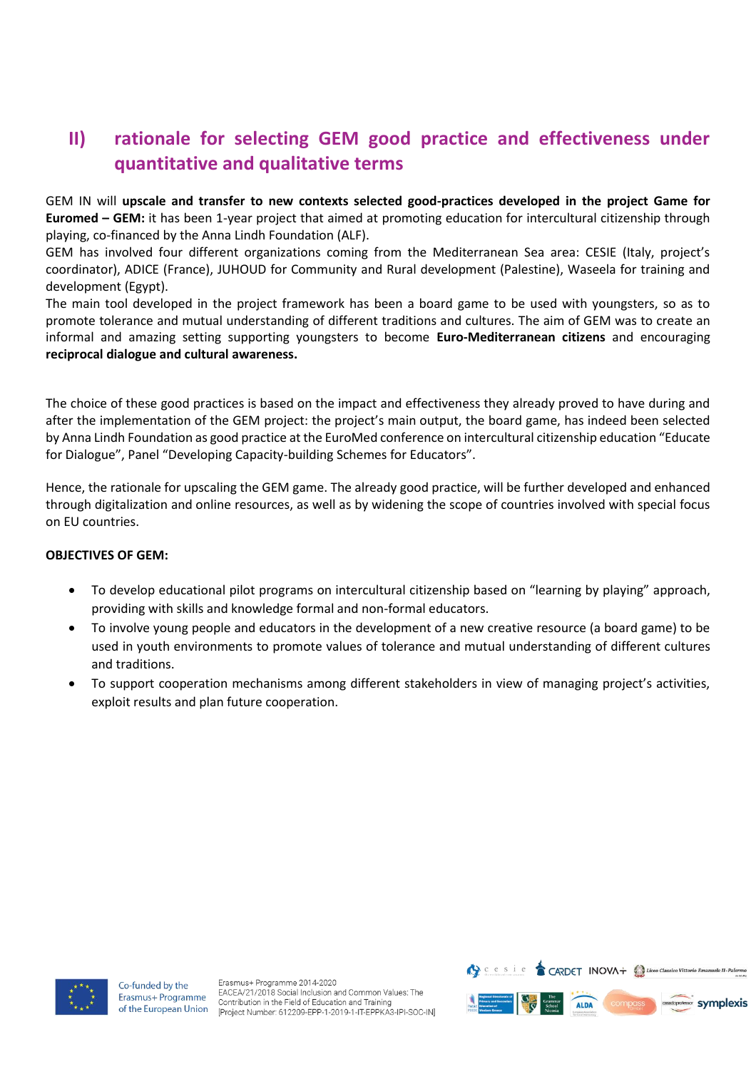## **II) rationale for selecting GEM good practice and effectiveness under quantitative and qualitative terms**

GEM IN will **upscale and transfer to new contexts selected good-practices developed in the project Game for Euromed – GEM:** it has been 1-year project that aimed at promoting education for intercultural citizenship through playing, co-financed by the Anna Lindh Foundation (ALF).

GEM has involved four different organizations coming from the Mediterranean Sea area: CESIE (Italy, project's coordinator), ADICE (France), JUHOUD for Community and Rural development (Palestine), Waseela for training and development (Egypt).

The main tool developed in the project framework has been a board game to be used with youngsters, so as to promote tolerance and mutual understanding of different traditions and cultures. The aim of GEM was to create an informal and amazing setting supporting youngsters to become **Euro-Mediterranean citizens** and encouraging **reciprocal dialogue and cultural awareness.** 

The choice of these good practices is based on the impact and effectiveness they already proved to have during and after the implementation of the GEM project: the project's main output, the board game, has indeed been selected by Anna Lindh Foundation as good practice at the EuroMed conference on intercultural citizenship education "Educate for Dialogue", Panel "Developing Capacity-building Schemes for Educators".

Hence, the rationale for upscaling the GEM game. The already good practice, will be further developed and enhanced through digitalization and online resources, as well as by widening the scope of countries involved with special focus on EU countries.

#### **OBJECTIVES OF GEM:**

- To develop educational pilot programs on intercultural citizenship based on "learning by playing" approach, providing with skills and knowledge formal and non-formal educators.
- To involve young people and educators in the development of a new creative resource (a board game) to be used in youth environments to promote values of tolerance and mutual understanding of different cultures and traditions.
- To support cooperation mechanisms among different stakeholders in view of managing project's activities, exploit results and plan future cooperation.



Co-funded by the Erasmus+ Programme of the European Union

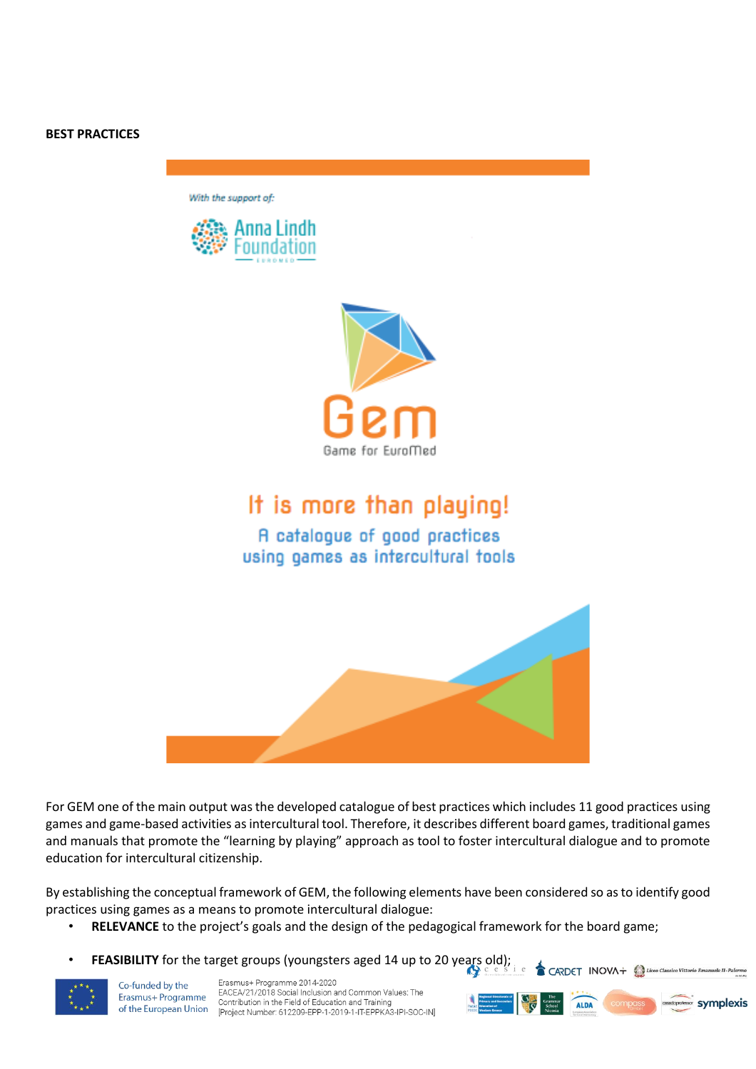**BEST PRACTICES**

With the support of:





## It is more than playing!

A catalogue of good practices using games as intercultural tools



For GEM one of the main output was the developed catalogue of best practices which includes 11 good practices using games and game-based activities as intercultural tool. Therefore, it describes different board games, traditional games and manuals that promote the "learning by playing" approach as tool to foster intercultural dialogue and to promote education for intercultural citizenship.

By establishing the conceptual framework of GEM, the following elements have been considered so as to identify good practices using games as a means to promote intercultural dialogue:

- **RELEVANCE** to the project's goals and the design of the pedagogical framework for the board game;
- **FEASIBILITY** for the target groups (youngsters aged 14 up to 20 years old);CARDET INCOVA + Liceo Classico Vittorio Emanuele II - Palermo



Co-funded by the Erasmus+ Programme

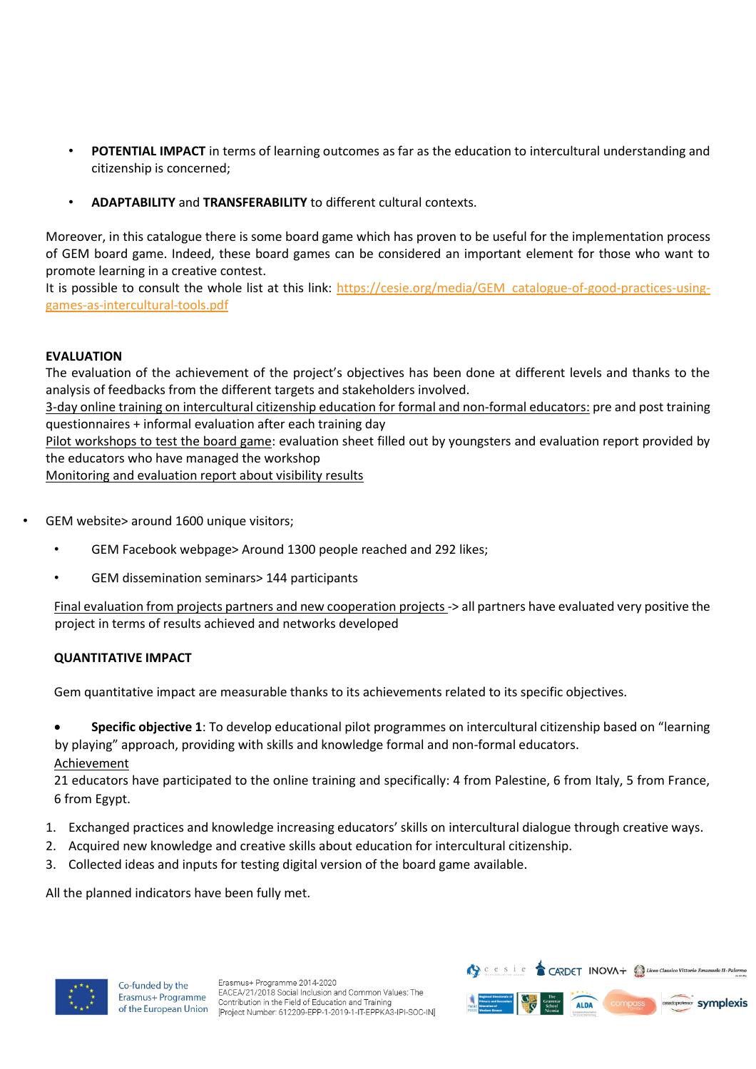- **POTENTIAL IMPACT** in terms of learning outcomes as far as the education to intercultural understanding and citizenship is concerned;
- **ADAPTABILITY** and **TRANSFERABILITY** to different cultural contexts.

Moreover, in this catalogue there is some board game which has proven to be useful for the implementation process of GEM board game. Indeed, these board games can be considered an important element for those who want to promote learning in a creative contest.

It is possible to consult the whole list at this link: [https://cesie.org/media/GEM\\_catalogue-of-good-practices-using](https://cesie.org/media/GEM_catalogue-of-good-practices-using-games-as-intercultural-tools.pdf)[games-as-intercultural-tools.pdf](https://cesie.org/media/GEM_catalogue-of-good-practices-using-games-as-intercultural-tools.pdf)

#### **EVALUATION**

The evaluation of the achievement of the project's objectives has been done at different levels and thanks to the analysis of feedbacks from the different targets and stakeholders involved.

3-day online training on intercultural citizenship education for formal and non-formal educators: pre and post training questionnaires + informal evaluation after each training day

Pilot workshops to test the board game: evaluation sheet filled out by youngsters and evaluation report provided by the educators who have managed the workshop

Monitoring and evaluation report about visibility results

- GEM website> around 1600 unique visitors;
	- GEM Facebook webpage> Around 1300 people reached and 292 likes;
	- GEM dissemination seminars> 144 participants

Final evaluation from projects partners and new cooperation projects -> all partners have evaluated very positive the project in terms of results achieved and networks developed

#### **QUANTITATIVE IMPACT**

Gem quantitative impact are measurable thanks to its achievements related to its specific objectives.

• **Specific objective 1**: To develop educational pilot programmes on intercultural citizenship based on "learning by playing" approach, providing with skills and knowledge formal and non-formal educators. Achievement

21 educators have participated to the online training and specifically: 4 from Palestine, 6 from Italy, 5 from France, 6 from Egypt.

- 1. Exchanged practices and knowledge increasing educators' skills on intercultural dialogue through creative ways.
- 2. Acquired new knowledge and creative skills about education for intercultural citizenship.
- 3. Collected ideas and inputs for testing digital version of the board game available.

All the planned indicators have been fully met.



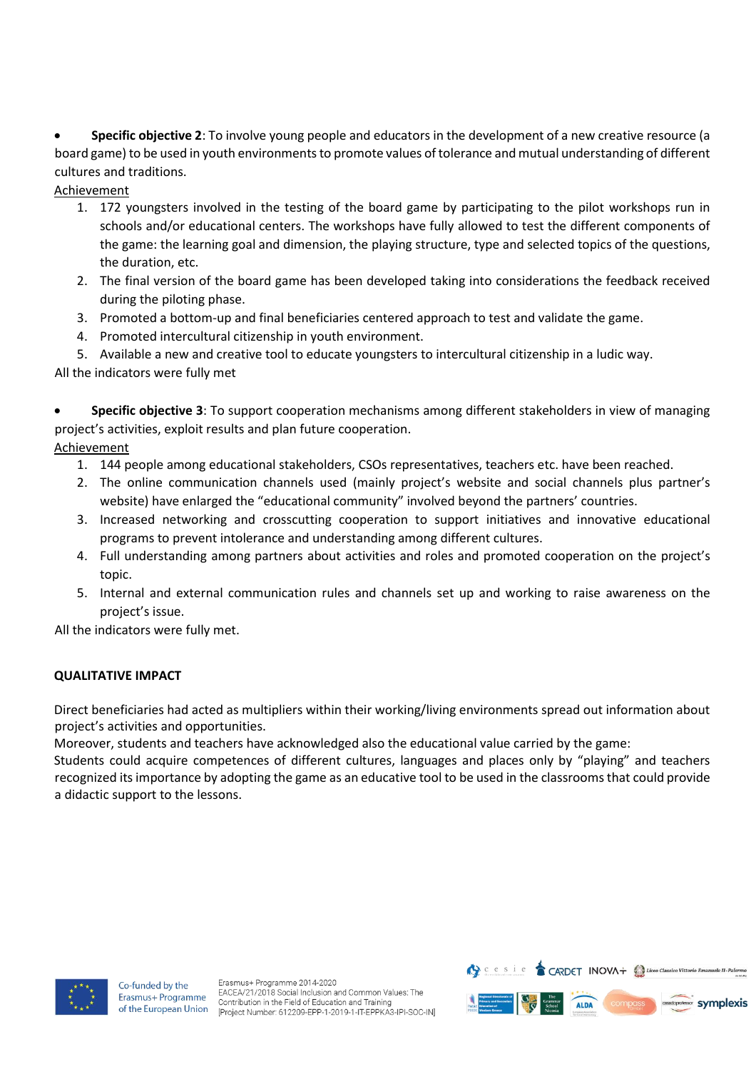• **Specific objective 2**: To involve young people and educators in the development of a new creative resource (a board game) to be used in youth environments to promote values of tolerance and mutual understanding of different cultures and traditions.

Achievement

- 1. 172 youngsters involved in the testing of the board game by participating to the pilot workshops run in schools and/or educational centers. The workshops have fully allowed to test the different components of the game: the learning goal and dimension, the playing structure, type and selected topics of the questions, the duration, etc.
- 2. The final version of the board game has been developed taking into considerations the feedback received during the piloting phase.
- 3. Promoted a bottom-up and final beneficiaries centered approach to test and validate the game.
- 4. Promoted intercultural citizenship in youth environment.
- 5. Available a new and creative tool to educate youngsters to intercultural citizenship in a ludic way.

All the indicators were fully met

• **Specific objective 3**: To support cooperation mechanisms among different stakeholders in view of managing project's activities, exploit results and plan future cooperation.

Achievement

- 1. 144 people among educational stakeholders, CSOs representatives, teachers etc. have been reached.
- 2. The online communication channels used (mainly project's website and social channels plus partner's website) have enlarged the "educational community" involved beyond the partners' countries.
- 3. Increased networking and crosscutting cooperation to support initiatives and innovative educational programs to prevent intolerance and understanding among different cultures.
- 4. Full understanding among partners about activities and roles and promoted cooperation on the project's topic.
- 5. Internal and external communication rules and channels set up and working to raise awareness on the project's issue.

All the indicators were fully met.

#### **QUALITATIVE IMPACT**

Direct beneficiaries had acted as multipliers within their working/living environments spread out information about project's activities and opportunities.

Moreover, students and teachers have acknowledged also the educational value carried by the game:

Students could acquire competences of different cultures, languages and places only by "playing" and teachers recognized its importance by adopting the game as an educative tool to be used in the classrooms that could provide a didactic support to the lessons.



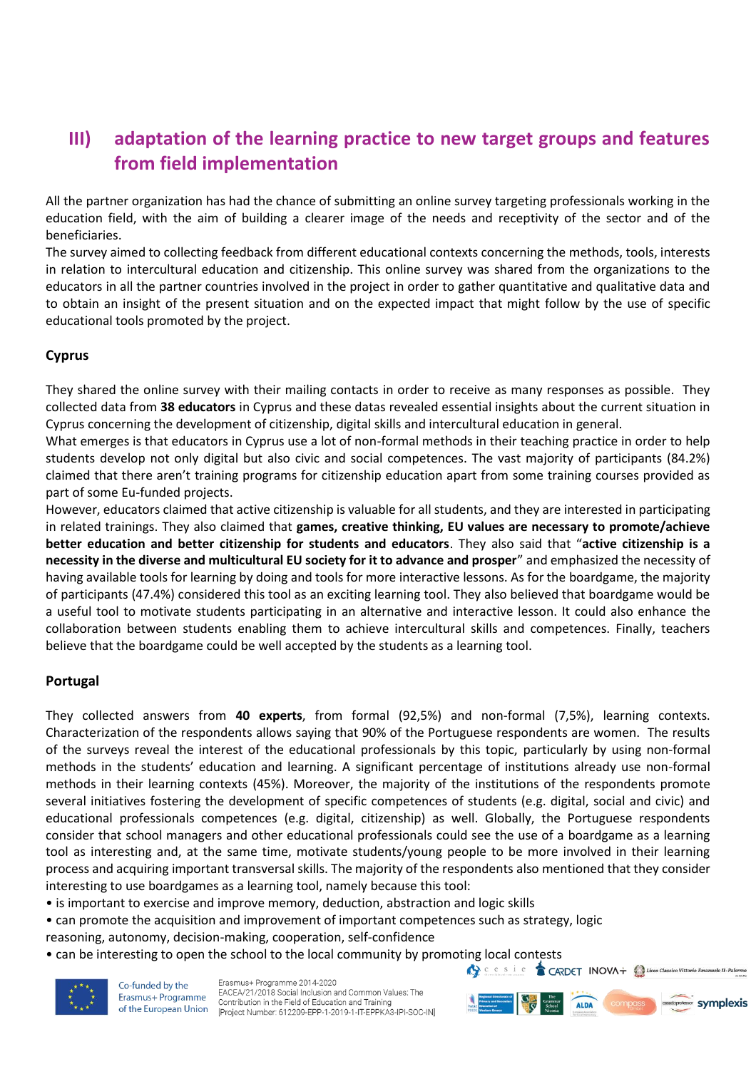## **III) adaptation of the learning practice to new target groups and features from field implementation**

All the partner organization has had the chance of submitting an online survey targeting professionals working in the education field, with the aim of building a clearer image of the needs and receptivity of the sector and of the beneficiaries.

The survey aimed to collecting feedback from different educational contexts concerning the methods, tools, interests in relation to intercultural education and citizenship. This online survey was shared from the organizations to the educators in all the partner countries involved in the project in order to gather quantitative and qualitative data and to obtain an insight of the present situation and on the expected impact that might follow by the use of specific educational tools promoted by the project.

#### **Cyprus**

They shared the online survey with their mailing contacts in order to receive as many responses as possible. They collected data from **38 educators** in Cyprus and these datas revealed essential insights about the current situation in Cyprus concerning the development of citizenship, digital skills and intercultural education in general.

What emerges is that educators in Cyprus use a lot of non-formal methods in their teaching practice in order to help students develop not only digital but also civic and social competences. The vast majority of participants (84.2%) claimed that there aren't training programs for citizenship education apart from some training courses provided as part of some Eu-funded projects.

However, educators claimed that active citizenship is valuable for all students, and they are interested in participating in related trainings. They also claimed that **games, creative thinking, EU values are necessary to promote/achieve better education and better citizenship for students and educators**. They also said that "**active citizenship is a necessity in the diverse and multicultural EU society for it to advance and prosper**" and emphasized the necessity of having available tools for learning by doing and tools for more interactive lessons. As for the boardgame, the majority of participants (47.4%) considered this tool as an exciting learning tool. They also believed that boardgame would be a useful tool to motivate students participating in an alternative and interactive lesson. It could also enhance the collaboration between students enabling them to achieve intercultural skills and competences. Finally, teachers believe that the boardgame could be well accepted by the students as a learning tool.

#### **Portugal**

They collected answers from **40 experts**, from formal (92,5%) and non-formal (7,5%), learning contexts. Characterization of the respondents allows saying that 90% of the Portuguese respondents are women. The results of the surveys reveal the interest of the educational professionals by this topic, particularly by using non-formal methods in the students' education and learning. A significant percentage of institutions already use non-formal methods in their learning contexts (45%). Moreover, the majority of the institutions of the respondents promote several initiatives fostering the development of specific competences of students (e.g. digital, social and civic) and educational professionals competences (e.g. digital, citizenship) as well. Globally, the Portuguese respondents consider that school managers and other educational professionals could see the use of a boardgame as a learning tool as interesting and, at the same time, motivate students/young people to be more involved in their learning process and acquiring important transversal skills. The majority of the respondents also mentioned that they consider interesting to use boardgames as a learning tool, namely because this tool:

- is important to exercise and improve memory, deduction, abstraction and logic skills
- can promote the acquisition and improvement of important competences such as strategy, logic
- reasoning, autonomy, decision-making, cooperation, self-confidence
- can be interesting to open the school to the local community by promoting local contests



Co-funded by the Erasmus+ Programme of the European Union

Erasmus+ Programme 2014-2020 EACEA/21/2018 Social Inclusion and Common Values: The Contribution in the Field of Education and Training [Project Number: 612209-EPP-1-2019-1-IT-EPPKA3-IPI-SOC-IN]



C C S i C CARDET INOVA + Liceo Classico Vittorio Emanuele II-Palerm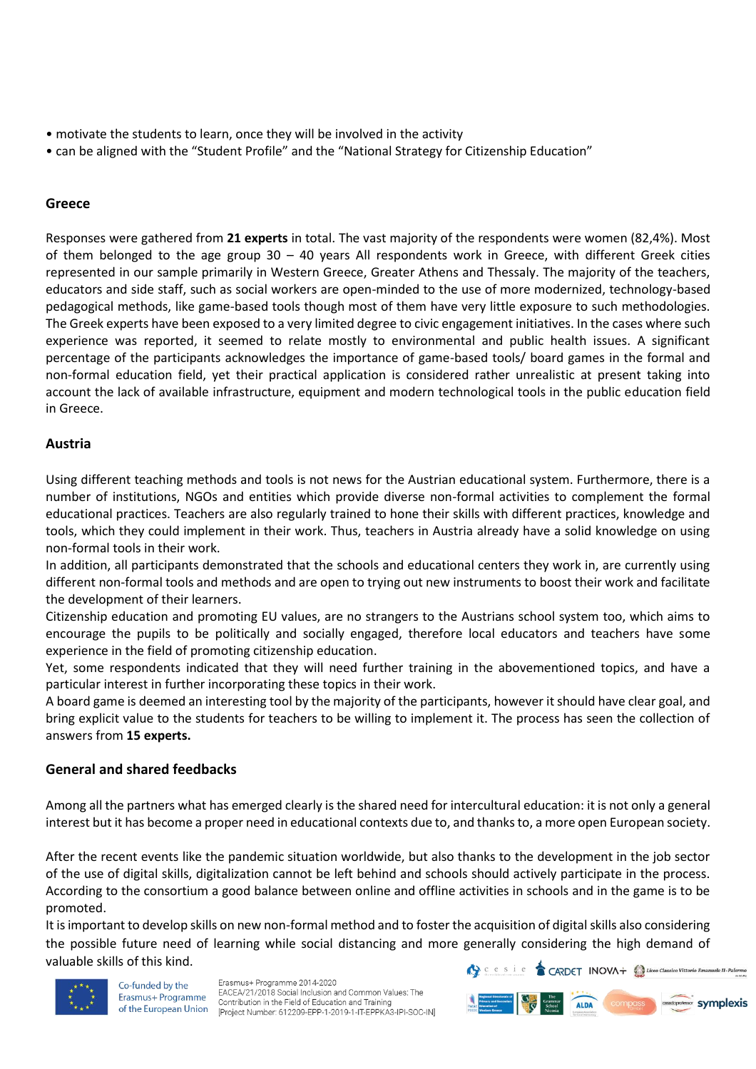- motivate the students to learn, once they will be involved in the activity
- can be aligned with the "Student Profile" and the "National Strategy for Citizenship Education"

#### **Greece**

Responses were gathered from **21 experts** in total. The vast majority of the respondents were women (82,4%). Most of them belonged to the age group  $30 - 40$  years All respondents work in Greece, with different Greek cities represented in our sample primarily in Western Greece, Greater Athens and Thessaly. The majority of the teachers, educators and side staff, such as social workers are open-minded to the use of more modernized, technology-based pedagogical methods, like game-based tools though most of them have very little exposure to such methodologies. The Greek experts have been exposed to a very limited degree to civic engagement initiatives. In the cases where such experience was reported, it seemed to relate mostly to environmental and public health issues. A significant percentage of the participants acknowledges the importance of game-based tools/ board games in the formal and non-formal education field, yet their practical application is considered rather unrealistic at present taking into account the lack of available infrastructure, equipment and modern technological tools in the public education field in Greece.

#### **Austria**

Using different teaching methods and tools is not news for the Austrian educational system. Furthermore, there is a number of institutions, NGOs and entities which provide diverse non-formal activities to complement the formal educational practices. Teachers are also regularly trained to hone their skills with different practices, knowledge and tools, which they could implement in their work. Thus, teachers in Austria already have a solid knowledge on using non-formal tools in their work.

In addition, all participants demonstrated that the schools and educational centers they work in, are currently using different non-formal tools and methods and are open to trying out new instruments to boost their work and facilitate the development of their learners.

Citizenship education and promoting EU values, are no strangers to the Austrians school system too, which aims to encourage the pupils to be politically and socially engaged, therefore local educators and teachers have some experience in the field of promoting citizenship education.

Yet, some respondents indicated that they will need further training in the abovementioned topics, and have a particular interest in further incorporating these topics in their work.

A board game is deemed an interesting tool by the majority of the participants, however it should have clear goal, and bring explicit value to the students for teachers to be willing to implement it. The process has seen the collection of answers from **15 experts.**

#### **General and shared feedbacks**

Among all the partners what has emerged clearly is the shared need for intercultural education: it is not only a general interest but it has become a proper need in educational contexts due to, and thanks to, a more open European society.

After the recent events like the pandemic situation worldwide, but also thanks to the development in the job sector of the use of digital skills, digitalization cannot be left behind and schools should actively participate in the process. According to the consortium a good balance between online and offline activities in schools and in the game is to be promoted.

It is important to develop skills on new non-formal method and to foster the acquisition of digital skills also considering the possible future need of learning while social distancing and more generally considering the high demand of valuable skills of this kind.



Co-funded by the Erasmus+ Programme of the European Union

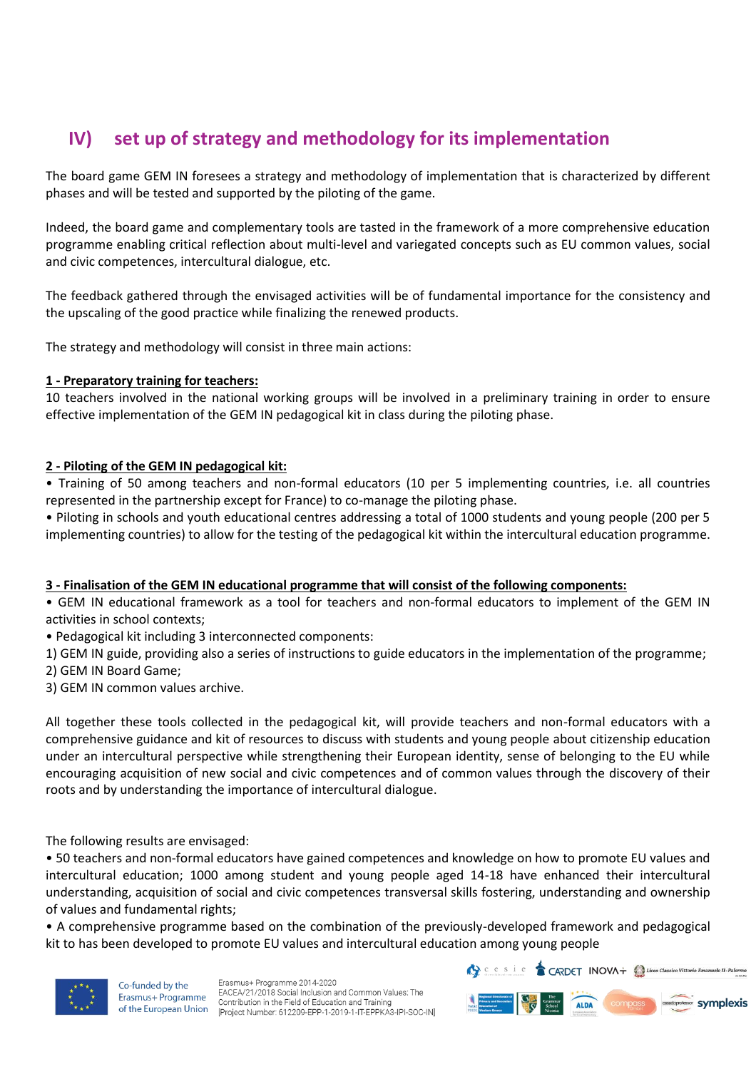## **IV) set up of strategy and methodology for its implementation**

The board game GEM IN foresees a strategy and methodology of implementation that is characterized by different phases and will be tested and supported by the piloting of the game.

Indeed, the board game and complementary tools are tasted in the framework of a more comprehensive education programme enabling critical reflection about multi-level and variegated concepts such as EU common values, social and civic competences, intercultural dialogue, etc.

The feedback gathered through the envisaged activities will be of fundamental importance for the consistency and the upscaling of the good practice while finalizing the renewed products.

The strategy and methodology will consist in three main actions:

#### **1 - Preparatory training for teachers:**

10 teachers involved in the national working groups will be involved in a preliminary training in order to ensure effective implementation of the GEM IN pedagogical kit in class during the piloting phase.

#### **2 - Piloting of the GEM IN pedagogical kit:**

• Training of 50 among teachers and non-formal educators (10 per 5 implementing countries, i.e. all countries represented in the partnership except for France) to co-manage the piloting phase.

• Piloting in schools and youth educational centres addressing a total of 1000 students and young people (200 per 5 implementing countries) to allow for the testing of the pedagogical kit within the intercultural education programme.

#### **3 - Finalisation of the GEM IN educational programme that will consist of the following components:**

• GEM IN educational framework as a tool for teachers and non-formal educators to implement of the GEM IN activities in school contexts;

• Pedagogical kit including 3 interconnected components:

1) GEM IN guide, providing also a series of instructions to guide educators in the implementation of the programme;

2) GEM IN Board Game;

3) GEM IN common values archive.

All together these tools collected in the pedagogical kit, will provide teachers and non-formal educators with a comprehensive guidance and kit of resources to discuss with students and young people about citizenship education under an intercultural perspective while strengthening their European identity, sense of belonging to the EU while encouraging acquisition of new social and civic competences and of common values through the discovery of their roots and by understanding the importance of intercultural dialogue.

The following results are envisaged:

• 50 teachers and non-formal educators have gained competences and knowledge on how to promote EU values and intercultural education; 1000 among student and young people aged 14-18 have enhanced their intercultural understanding, acquisition of social and civic competences transversal skills fostering, understanding and ownership of values and fundamental rights;

• A comprehensive programme based on the combination of the previously-developed framework and pedagogical kit to has been developed to promote EU values and intercultural education among young people



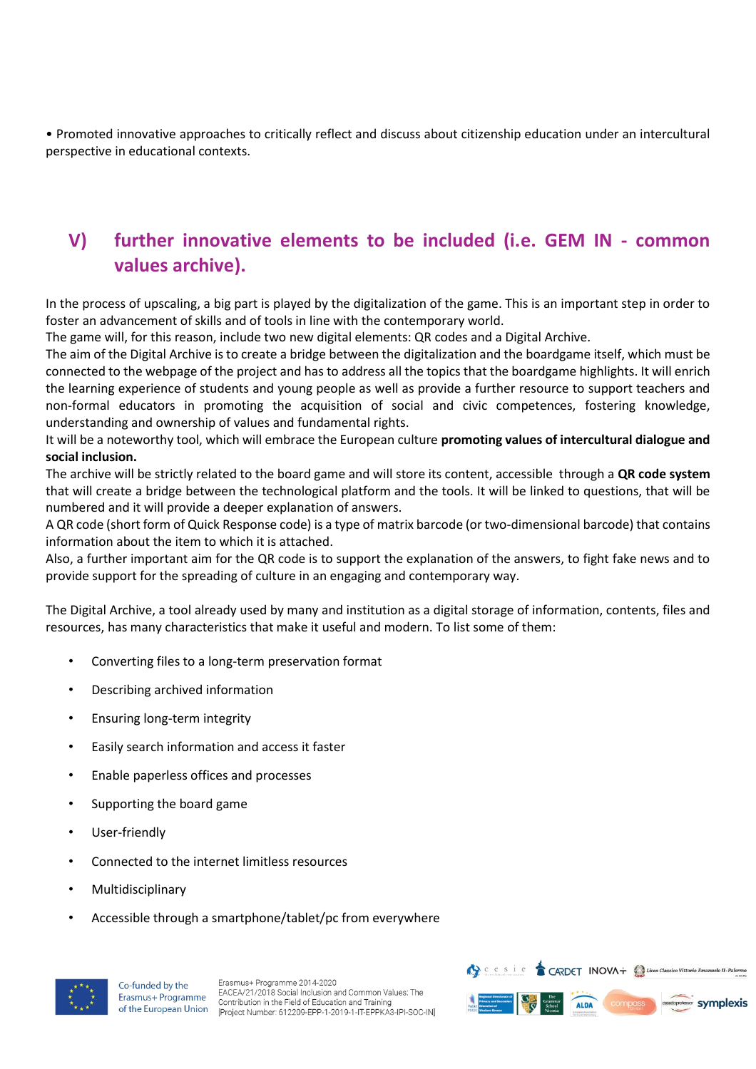• Promoted innovative approaches to critically reflect and discuss about citizenship education under an intercultural perspective in educational contexts.

## **V) further innovative elements to be included (i.e. GEM IN - common values archive).**

In the process of upscaling, a big part is played by the digitalization of the game. This is an important step in order to foster an advancement of skills and of tools in line with the contemporary world.

The game will, for this reason, include two new digital elements: QR codes and a Digital Archive.

The aim of the Digital Archive is to create a bridge between the digitalization and the boardgame itself, which must be connected to the webpage of the project and has to address all the topics that the boardgame highlights. It will enrich the learning experience of students and young people as well as provide a further resource to support teachers and non-formal educators in promoting the acquisition of social and civic competences, fostering knowledge, understanding and ownership of values and fundamental rights.

It will be a noteworthy tool, which will embrace the European culture **promoting values of intercultural dialogue and social inclusion.** 

The archive will be strictly related to the board game and will store its content, accessible through a **QR code system** that will create a bridge between the technological platform and the tools. It will be linked to questions, that will be numbered and it will provide a deeper explanation of answers.

A QR code (short form of Quick Response code) is a type of matrix barcode (or two-dimensional barcode) that contains information about the item to which it is attached.

Also, a further important aim for the QR code is to support the explanation of the answers, to fight fake news and to provide support for the spreading of culture in an engaging and contemporary way.

The Digital Archive, a tool already used by many and institution as a digital storage of information, contents, files and resources, has many characteristics that make it useful and modern. To list some of them:

- Converting files to a long-term preservation format
- Describing archived information
- Ensuring long-term integrity
- Easily search information and access it faster
- Enable paperless offices and processes
- Supporting the board game
- User-friendly
- Connected to the internet limitless resources
- Multidisciplinary
- Accessible through a smartphone/tablet/pc from everywhere



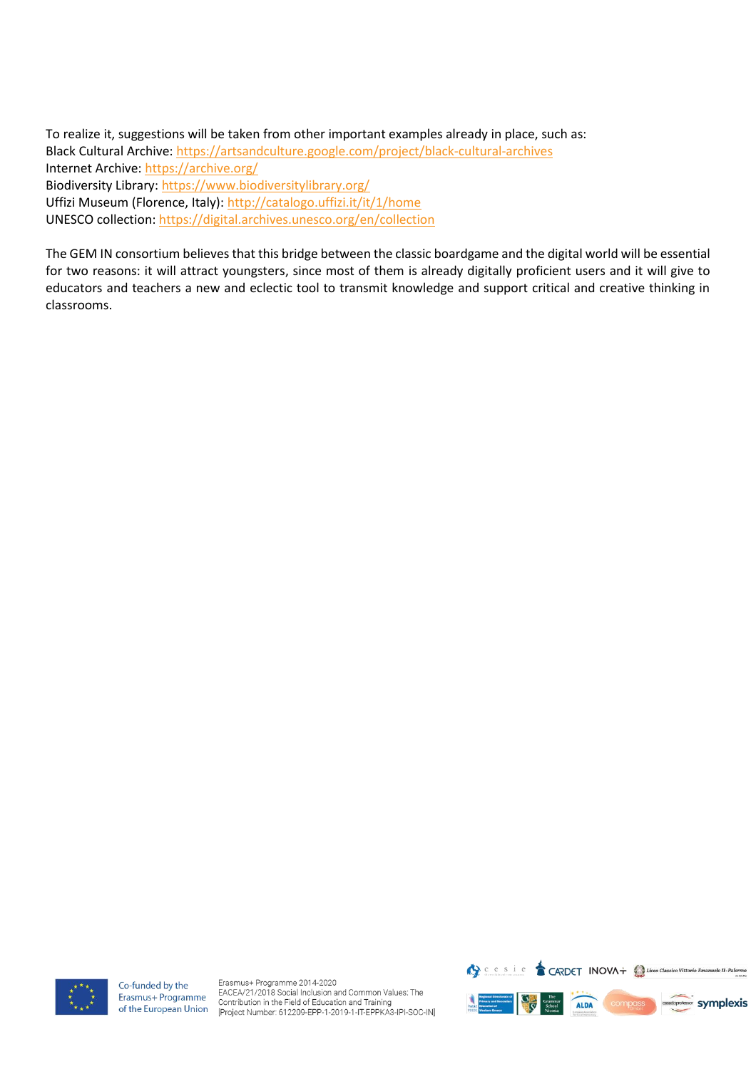To realize it, suggestions will be taken from other important examples already in place, such as: Black Cultural Archive[: https://artsandculture.google.com/project/black-cultural-archives](https://artsandculture.google.com/project/black-cultural-archives) Internet Archive:<https://archive.org/> Biodiversity Library:<https://www.biodiversitylibrary.org/> Uffizi Museum (Florence, Italy):<http://catalogo.uffizi.it/it/1/home> UNESCO collection:<https://digital.archives.unesco.org/en/collection>

The GEM IN consortium believes that this bridge between the classic boardgame and the digital world will be essential for two reasons: it will attract youngsters, since most of them is already digitally proficient users and it will give to educators and teachers a new and eclectic tool to transmit knowledge and support critical and creative thinking in classrooms.



Co-funded by the Erasmus+ Programme of the European Union